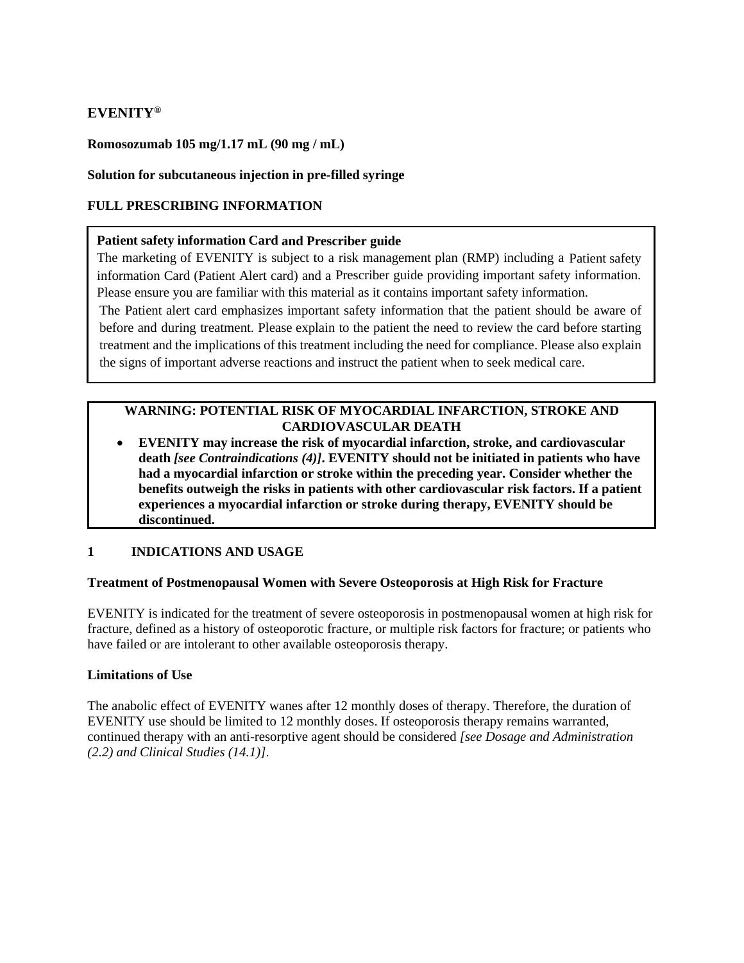# **EVENITY®**

### **Romosozumab 105 mg/1.17 mL (90 mg / mL)**

#### **Solution for subcutaneous injection in pre-filled syringe**

#### **FULL PRESCRIBING INFORMATION**

#### **Patient safety information Card and Prescriber guide**

The marketing of EVENITY is subject to a risk management plan (RMP) including a Patient safety information Card (Patient Alert card) and a Prescriber guide providing important safety information. Please ensure you are familiar with this material as it contains important safety information.

The Patient alert card emphasizes important safety information that the patient should be aware of before and during treatment. Please explain to the patient the need to review the card before starting treatment and the implications of this treatment including the need for compliance. Please also explain the signs of important adverse reactions and instruct the patient when to seek medical care.

# **WARNING: POTENTIAL RISK OF MYOCARDIAL INFARCTION, STROKE AND CARDIOVASCULAR DEATH**

• **EVENITY may increase the risk of myocardial infarction, stroke, and cardiovascular death** *[see Contraindications (4)]***. EVENITY should not be initiated in patients who have had a myocardial infarction or stroke within the preceding year. Consider whether the benefits outweigh the risks in patients with other cardiovascular risk factors. If a patient experiences a myocardial infarction or stroke during therapy, EVENITY should be discontinued.**

## **1 INDICATIONS AND USAGE**

### **Treatment of Postmenopausal Women with Severe Osteoporosis at High Risk for Fracture**

EVENITY is indicated for the treatment of severe osteoporosis in postmenopausal women at high risk for fracture, defined as a history of osteoporotic fracture, or multiple risk factors for fracture; or patients who have failed or are intolerant to other available osteoporosis therapy.

#### **Limitations of Use**

The anabolic effect of EVENITY wanes after 12 monthly doses of therapy. Therefore, the duration of EVENITY use should be limited to 12 monthly doses. If osteoporosis therapy remains warranted, continued therapy with an anti-resorptive agent should be considered *[see Dosage and Administration (2.2) and Clinical Studies (14.1)]*.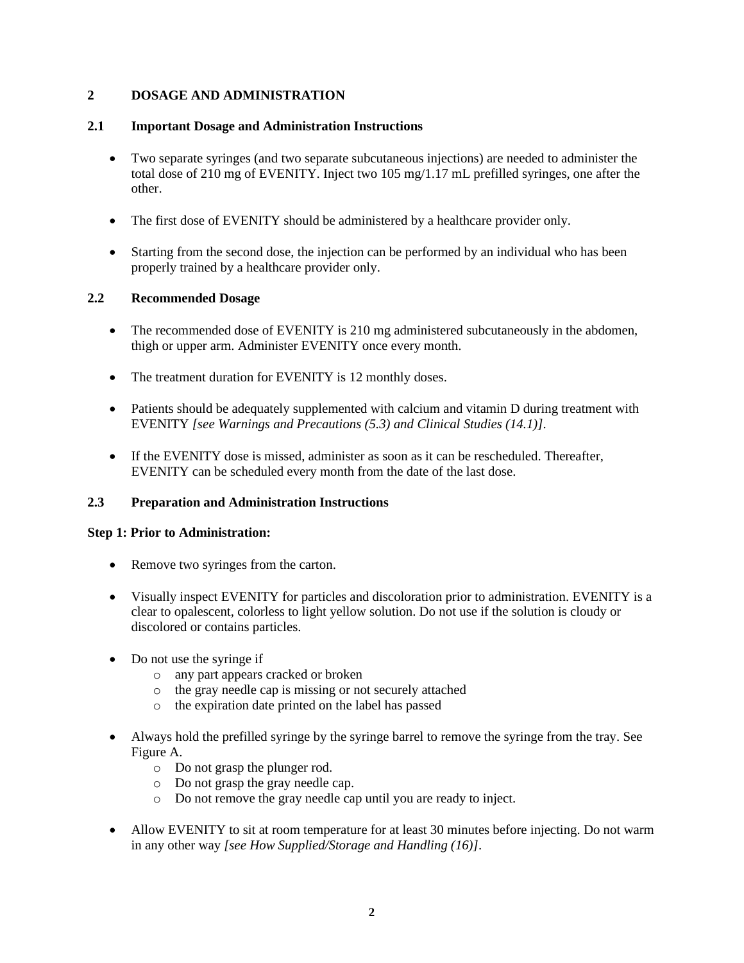## **2 DOSAGE AND ADMINISTRATION**

### **2.1 Important Dosage and Administration Instructions**

- Two separate syringes (and two separate subcutaneous injections) are needed to administer the total dose of 210 mg of EVENITY. Inject two 105 mg/1.17 mL prefilled syringes, one after the other.
- The first dose of EVENITY should be administered by a healthcare provider only.
- Starting from the second dose, the injection can be performed by an individual who has been properly trained by a healthcare provider only.

## **2.2 Recommended Dosage**

- The recommended dose of EVENITY is 210 mg administered subcutaneously in the abdomen, thigh or upper arm. Administer EVENITY once every month.
- The treatment duration for EVENITY is 12 monthly doses.
- Patients should be adequately supplemented with calcium and vitamin D during treatment with EVENITY *[see Warnings and Precautions (5.3) and Clinical Studies (14.1)]*.
- If the EVENITY dose is missed, administer as soon as it can be rescheduled. Thereafter, EVENITY can be scheduled every month from the date of the last dose.

### **2.3 Preparation and Administration Instructions**

### **Step 1: Prior to Administration:**

- Remove two syringes from the carton.
- Visually inspect EVENITY for particles and discoloration prior to administration. EVENITY is a clear to opalescent, colorless to light yellow solution. Do not use if the solution is cloudy or discolored or contains particles.
- Do not use the syringe if
	- o any part appears cracked or broken
	- o the gray needle cap is missing or not securely attached
	- o the expiration date printed on the label has passed
- Always hold the prefilled syringe by the syringe barrel to remove the syringe from the tray. See Figure A.
	- o Do not grasp the plunger rod.
	- o Do not grasp the gray needle cap.
	- o Do not remove the gray needle cap until you are ready to inject.
- Allow EVENITY to sit at room temperature for at least 30 minutes before injecting. Do not warm in any other way *[see How Supplied/Storage and Handling (16)]*.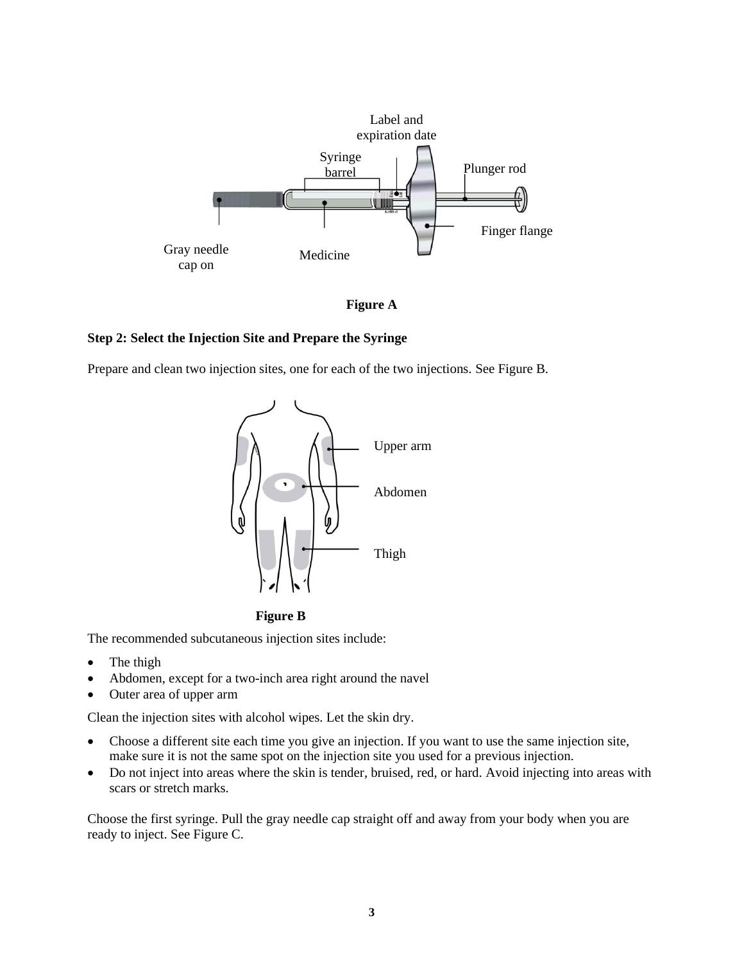

**Figure A**

#### **Step 2: Select the Injection Site and Prepare the Syringe**

Prepare and clean two injection sites, one for each of the two injections. See Figure B.





The recommended subcutaneous injection sites include:

- The thigh
- Abdomen, except for a two-inch area right around the navel
- Outer area of upper arm

Clean the injection sites with alcohol wipes. Let the skin dry.

- Choose a different site each time you give an injection. If you want to use the same injection site, make sure it is not the same spot on the injection site you used for a previous injection.
- Do not inject into areas where the skin is tender, bruised, red, or hard. Avoid injecting into areas with scars or stretch marks.

Choose the first syringe. Pull the gray needle cap straight off and away from your body when you are ready to inject. See Figure C.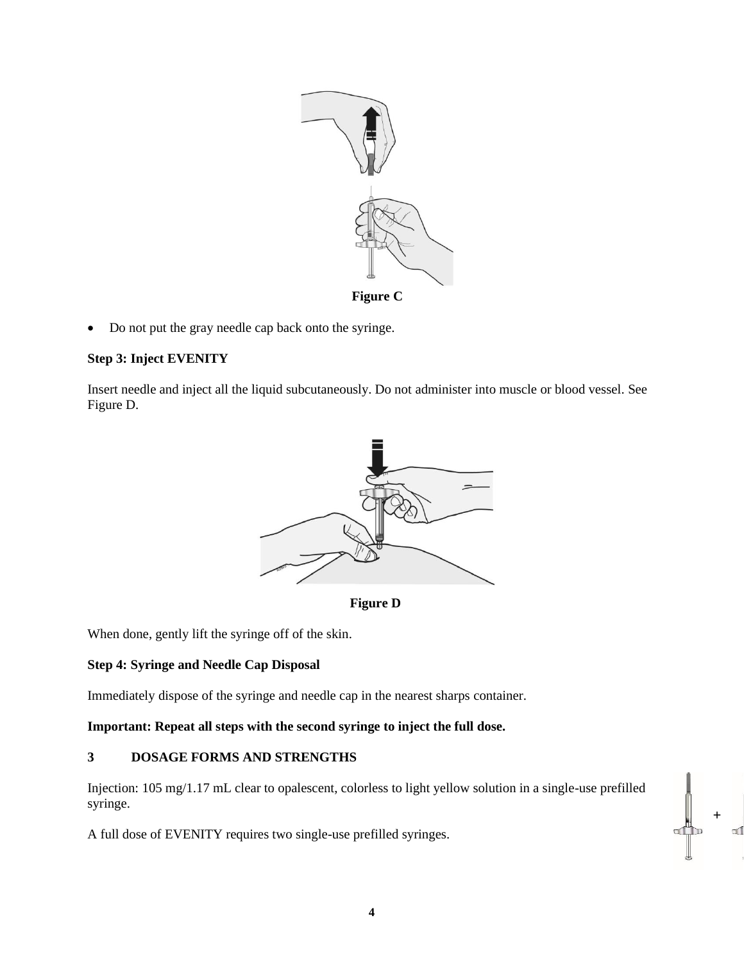

• Do not put the gray needle cap back onto the syringe.

### **Step 3: Inject EVENITY**

Insert needle and inject all the liquid subcutaneously. Do not administer into muscle or blood vessel. See Figure D.





When done, gently lift the syringe off of the skin.

### **Step 4: Syringe and Needle Cap Disposal**

Immediately dispose of the syringe and needle cap in the nearest sharps container.

### **Important: Repeat all steps with the second syringe to inject the full dose.**

## **3 DOSAGE FORMS AND STRENGTHS**

Injection: 105 mg/1.17 mL clear to opalescent, colorless to light yellow solution in a single-use prefilled syringe.

A full dose of EVENITY requires two single-use prefilled syringes.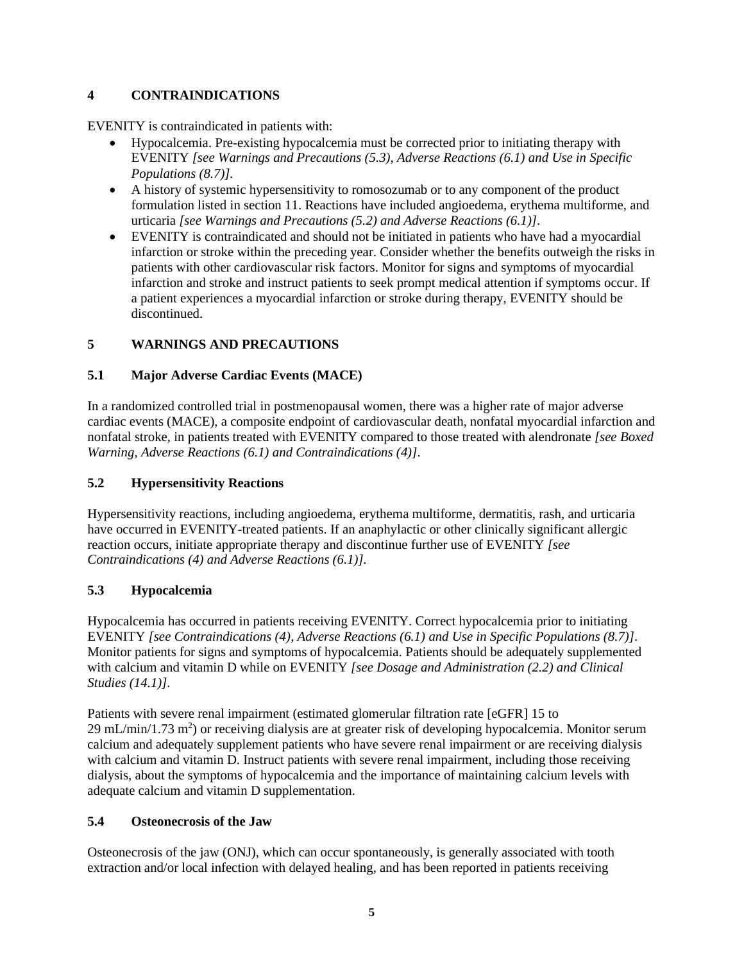# **4 CONTRAINDICATIONS**

EVENITY is contraindicated in patients with:

- Hypocalcemia. Pre-existing hypocalcemia must be corrected prior to initiating therapy with EVENITY *[see Warnings and Precautions (5.3), Adverse Reactions (6.1) and Use in Specific Populations (8.7)].*
- A history of systemic hypersensitivity to romosozumab or to any component of the product formulation listed in section 11. Reactions have included angioedema, erythema multiforme, and urticaria *[see Warnings and Precautions (5.2) and Adverse Reactions (6.1)]*.
- EVENITY is contraindicated and should not be initiated in patients who have had a myocardial infarction or stroke within the preceding year. Consider whether the benefits outweigh the risks in patients with other cardiovascular risk factors. Monitor for signs and symptoms of myocardial infarction and stroke and instruct patients to seek prompt medical attention if symptoms occur. If a patient experiences a myocardial infarction or stroke during therapy, EVENITY should be discontinued.

# **5 WARNINGS AND PRECAUTIONS**

## **5.1 Major Adverse Cardiac Events (MACE)**

In a randomized controlled trial in postmenopausal women, there was a higher rate of major adverse cardiac events (MACE), a composite endpoint of cardiovascular death, nonfatal myocardial infarction and nonfatal stroke, in patients treated with EVENITY compared to those treated with alendronate *[see Boxed Warning, Adverse Reactions (6.1) and Contraindications (4)]*.

## **5.2 Hypersensitivity Reactions**

Hypersensitivity reactions, including angioedema, erythema multiforme, dermatitis, rash, and urticaria have occurred in EVENITY-treated patients. If an anaphylactic or other clinically significant allergic reaction occurs, initiate appropriate therapy and discontinue further use of EVENITY *[see Contraindications (4) and Adverse Reactions (6.1)].*

## **5.3 Hypocalcemia**

Hypocalcemia has occurred in patients receiving EVENITY. Correct hypocalcemia prior to initiating EVENITY *[see Contraindications (4), Adverse Reactions (6.1) and Use in Specific Populations (8.7)]*. Monitor patients for signs and symptoms of hypocalcemia. Patients should be adequately supplemented with calcium and vitamin D while on EVENITY *[see Dosage and Administration (2.2) and Clinical Studies (14.1)]*.

Patients with severe renal impairment (estimated glomerular filtration rate [eGFR] 15 to 29 mL/min/1.73 m<sup>2</sup>) or receiving dialysis are at greater risk of developing hypocalcemia. Monitor serum calcium and adequately supplement patients who have severe renal impairment or are receiving dialysis with calcium and vitamin D. Instruct patients with severe renal impairment, including those receiving dialysis, about the symptoms of hypocalcemia and the importance of maintaining calcium levels with adequate calcium and vitamin D supplementation.

## **5.4 Osteonecrosis of the Jaw**

Osteonecrosis of the jaw (ONJ), which can occur spontaneously, is generally associated with tooth extraction and/or local infection with delayed healing, and has been reported in patients receiving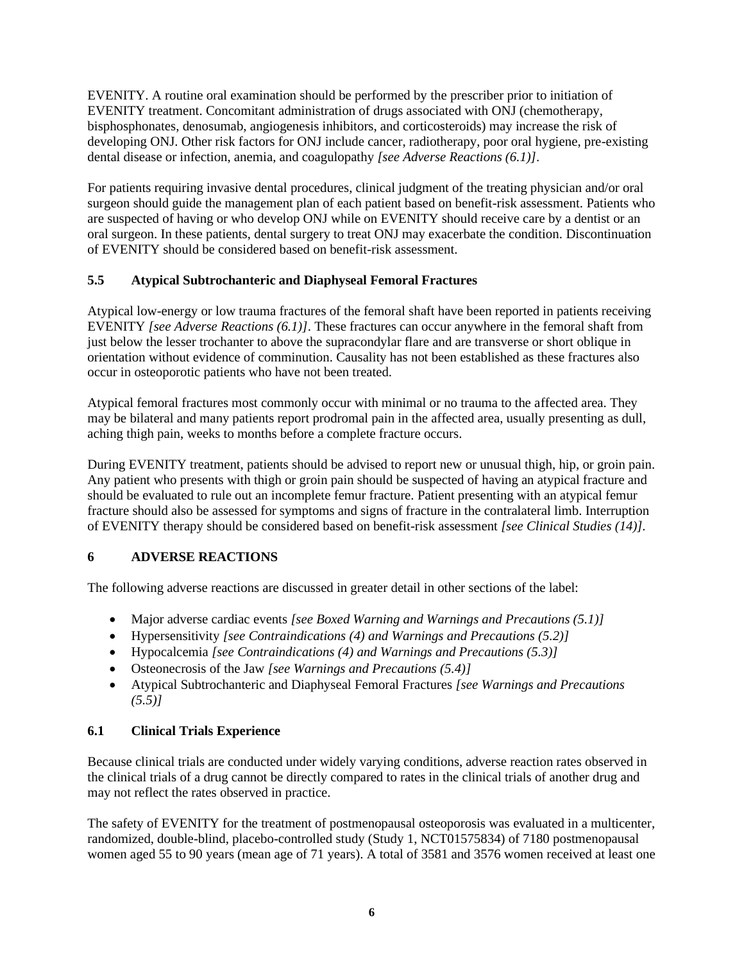EVENITY. A routine oral examination should be performed by the prescriber prior to initiation of EVENITY treatment. Concomitant administration of drugs associated with ONJ (chemotherapy, bisphosphonates, denosumab, angiogenesis inhibitors, and corticosteroids) may increase the risk of developing ONJ. Other risk factors for ONJ include cancer, radiotherapy, poor oral hygiene, pre-existing dental disease or infection, anemia, and coagulopathy *[see Adverse Reactions (6.1)]*.

For patients requiring invasive dental procedures, clinical judgment of the treating physician and/or oral surgeon should guide the management plan of each patient based on benefit-risk assessment. Patients who are suspected of having or who develop ONJ while on EVENITY should receive care by a dentist or an oral surgeon. In these patients, dental surgery to treat ONJ may exacerbate the condition. Discontinuation of EVENITY should be considered based on benefit-risk assessment.

# **5.5 Atypical Subtrochanteric and Diaphyseal Femoral Fractures**

Atypical low-energy or low trauma fractures of the femoral shaft have been reported in patients receiving EVENITY *[see Adverse Reactions (6.1)]*. These fractures can occur anywhere in the femoral shaft from just below the lesser trochanter to above the supracondylar flare and are transverse or short oblique in orientation without evidence of comminution. Causality has not been established as these fractures also occur in osteoporotic patients who have not been treated.

Atypical femoral fractures most commonly occur with minimal or no trauma to the affected area. They may be bilateral and many patients report prodromal pain in the affected area, usually presenting as dull, aching thigh pain, weeks to months before a complete fracture occurs.

During EVENITY treatment, patients should be advised to report new or unusual thigh, hip, or groin pain. Any patient who presents with thigh or groin pain should be suspected of having an atypical fracture and should be evaluated to rule out an incomplete femur fracture. Patient presenting with an atypical femur fracture should also be assessed for symptoms and signs of fracture in the contralateral limb. Interruption of EVENITY therapy should be considered based on benefit-risk assessment *[see Clinical Studies (14)].*

# **6 ADVERSE REACTIONS**

The following adverse reactions are discussed in greater detail in other sections of the label:

- Major adverse cardiac events *[see Boxed Warning and Warnings and Precautions (5.1)]*
- Hypersensitivity *[see Contraindications (4) and Warnings and Precautions (5.2)]*
- Hypocalcemia *[see Contraindications (4) and Warnings and Precautions (5.3)]*
- Osteonecrosis of the Jaw *[see Warnings and Precautions (5.4)]*
- Atypical Subtrochanteric and Diaphyseal Femoral Fractures *[see Warnings and Precautions (5.5)]*

## **6.1 Clinical Trials Experience**

Because clinical trials are conducted under widely varying conditions, adverse reaction rates observed in the clinical trials of a drug cannot be directly compared to rates in the clinical trials of another drug and may not reflect the rates observed in practice.

The safety of EVENITY for the treatment of postmenopausal osteoporosis was evaluated in a multicenter, randomized, double-blind, placebo-controlled study (Study 1, NCT01575834) of 7180 postmenopausal women aged 55 to 90 years (mean age of 71 years). A total of 3581 and 3576 women received at least one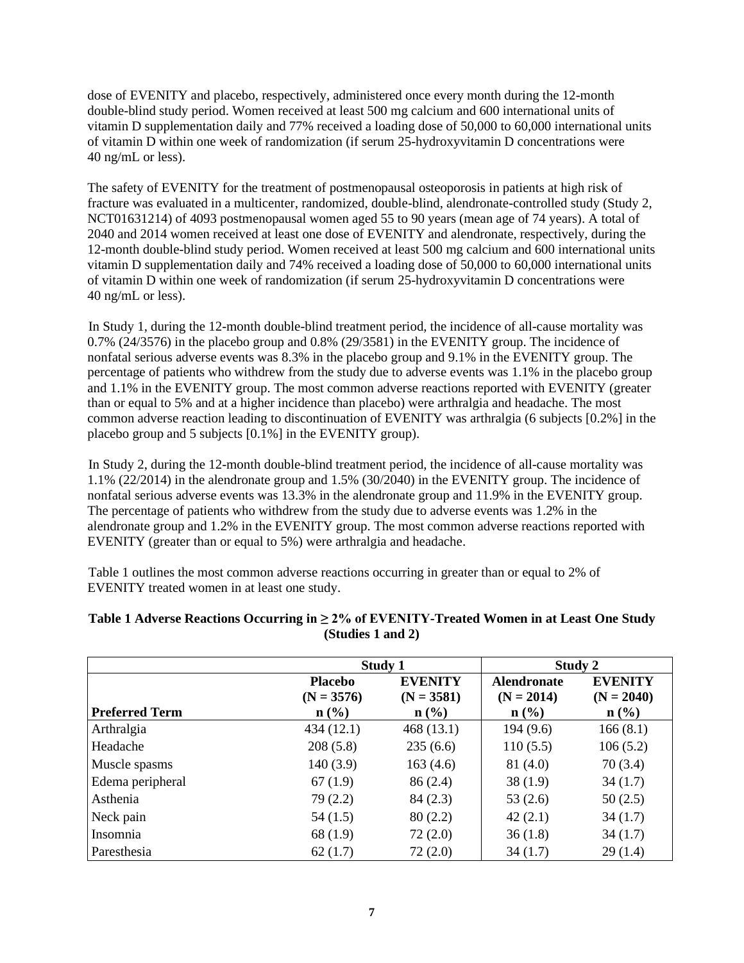dose of EVENITY and placebo, respectively, administered once every month during the 12-month double-blind study period. Women received at least 500 mg calcium and 600 international units of vitamin D supplementation daily and 77% received a loading dose of 50,000 to 60,000 international units of vitamin D within one week of randomization (if serum 25-hydroxyvitamin D concentrations were 40 ng/mL or less).

The safety of EVENITY for the treatment of postmenopausal osteoporosis in patients at high risk of fracture was evaluated in a multicenter, randomized, double-blind, alendronate-controlled study (Study 2, NCT01631214) of 4093 postmenopausal women aged 55 to 90 years (mean age of 74 years). A total of 2040 and 2014 women received at least one dose of EVENITY and alendronate, respectively, during the 12-month double-blind study period. Women received at least 500 mg calcium and 600 international units vitamin D supplementation daily and 74% received a loading dose of 50,000 to 60,000 international units of vitamin D within one week of randomization (if serum 25-hydroxyvitamin D concentrations were 40 ng/mL or less).

In Study 1, during the 12-month double-blind treatment period, the incidence of all-cause mortality was 0.7% (24/3576) in the placebo group and 0.8% (29/3581) in the EVENITY group. The incidence of nonfatal serious adverse events was 8.3% in the placebo group and 9.1% in the EVENITY group. The percentage of patients who withdrew from the study due to adverse events was 1.1% in the placebo group and 1.1% in the EVENITY group. The most common adverse reactions reported with EVENITY (greater than or equal to 5% and at a higher incidence than placebo) were arthralgia and headache. The most common adverse reaction leading to discontinuation of EVENITY was arthralgia (6 subjects [0.2%] in the placebo group and 5 subjects [0.1%] in the EVENITY group).

In Study 2, during the 12-month double-blind treatment period, the incidence of all-cause mortality was 1.1% (22/2014) in the alendronate group and 1.5% (30/2040) in the EVENITY group. The incidence of nonfatal serious adverse events was 13.3% in the alendronate group and 11.9% in the EVENITY group. The percentage of patients who withdrew from the study due to adverse events was 1.2% in the alendronate group and 1.2% in the EVENITY group. The most common adverse reactions reported with EVENITY (greater than or equal to 5%) were arthralgia and headache.

Table 1 outlines the most common adverse reactions occurring in greater than or equal to 2% of EVENITY treated women in at least one study.

|                       | Study 1                        |                                | Study 2                            |                                |
|-----------------------|--------------------------------|--------------------------------|------------------------------------|--------------------------------|
|                       | <b>Placebo</b><br>$(N = 3576)$ | <b>EVENITY</b><br>$(N = 3581)$ | <b>Alendronate</b><br>$(N = 2014)$ | <b>EVENITY</b><br>$(N = 2040)$ |
| <b>Preferred Term</b> | $n\left(\frac{0}{0}\right)$    | $n$ (%)                        | $\mathbf{n}(\%)$                   | $n$ (%)                        |
| Arthralgia            | 434 (12.1)                     | 468(13.1)                      | 194(9.6)                           | 166(8.1)                       |
| Headache              | 208(5.8)                       | 235(6.6)                       | 110(5.5)                           | 106(5.2)                       |
| Muscle spasms         | 140(3.9)                       | 163(4.6)                       | 81(4.0)                            | 70(3.4)                        |
| Edema peripheral      | 67(1.9)                        | 86(2.4)                        | 38(1.9)                            | 34(1.7)                        |
| Asthenia              | 79(2.2)                        | 84(2.3)                        | 53 $(2.6)$                         | 50(2.5)                        |
| Neck pain             | 54(1.5)                        | 80(2.2)                        | 42(2.1)                            | 34(1.7)                        |
| Insomnia              | 68 (1.9)                       | 72(2.0)                        | 36(1.8)                            | 34(1.7)                        |
| Paresthesia           | 62(1.7)                        | 72(2.0)                        | 34(1.7)                            | 29(1.4)                        |

## **Table 1 Adverse Reactions Occurring in ≥ 2% of EVENITY-Treated Women in at Least One Study (Studies 1 and 2)**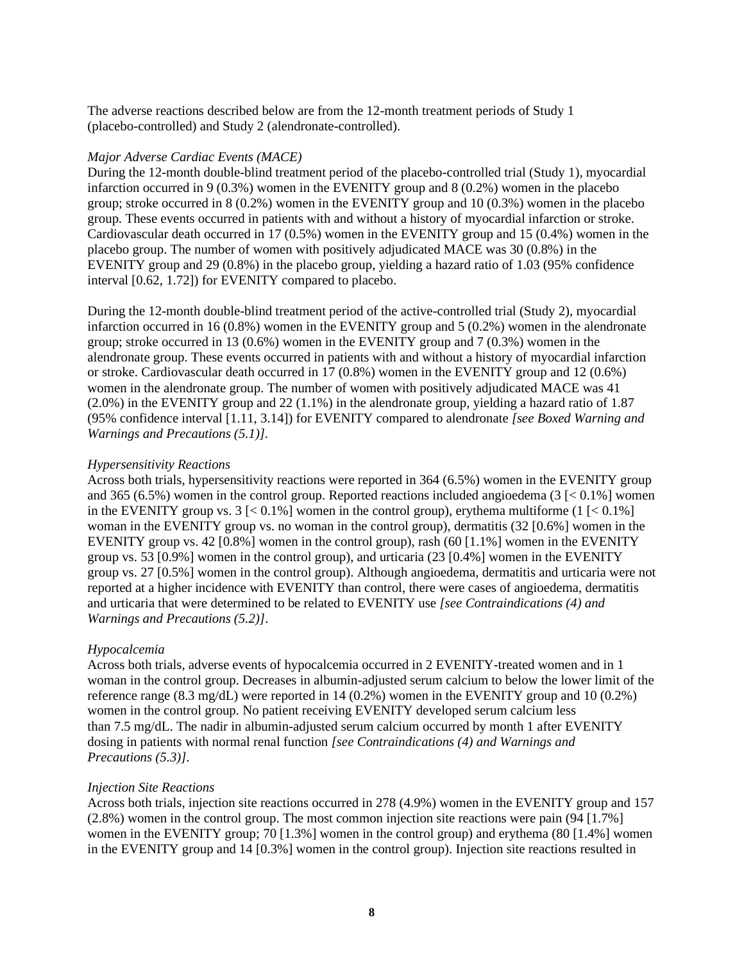The adverse reactions described below are from the 12-month treatment periods of Study 1 (placebo-controlled) and Study 2 (alendronate-controlled).

#### *Major Adverse Cardiac Events (MACE)*

During the 12-month double-blind treatment period of the placebo-controlled trial (Study 1), myocardial infarction occurred in 9 (0.3%) women in the EVENITY group and 8 (0.2%) women in the placebo group; stroke occurred in 8 (0.2%) women in the EVENITY group and 10 (0.3%) women in the placebo group*.* These events occurred in patients with and without a history of myocardial infarction or stroke. Cardiovascular death occurred in 17 (0.5%) women in the EVENITY group and 15 (0.4%) women in the placebo group. The number of women with positively adjudicated MACE was 30 (0.8%) in the EVENITY group and 29 (0.8%) in the placebo group, yielding a hazard ratio of 1.03 (95% confidence interval [0.62, 1.72]) for EVENITY compared to placebo.

During the 12-month double-blind treatment period of the active-controlled trial (Study 2), myocardial infarction occurred in 16 (0.8%) women in the EVENITY group and 5 (0.2%) women in the alendronate group; stroke occurred in 13 (0.6%) women in the EVENITY group and 7 (0.3%) women in the alendronate group. These events occurred in patients with and without a history of myocardial infarction or stroke. Cardiovascular death occurred in 17 (0.8%) women in the EVENITY group and 12 (0.6%) women in the alendronate group. The number of women with positively adjudicated MACE was 41 (2.0%) in the EVENITY group and 22 (1.1%) in the alendronate group, yielding a hazard ratio of 1.87 (95% confidence interval [1.11, 3.14]) for EVENITY compared to alendronate *[see Boxed Warning and Warnings and Precautions (5.1)].*

#### *Hypersensitivity Reactions*

Across both trials, hypersensitivity reactions were reported in 364 (6.5%) women in the EVENITY group and 365 (6.5%) women in the control group. Reported reactions included angioedema (3 [< 0.1%] women in the EVENITY group vs.  $3 \leq 0.1\%$ ] women in the control group), erythema multiforme  $(1 \leq 0.1\%$ ] woman in the EVENITY group vs. no woman in the control group), dermatitis (32 [0.6%] women in the EVENITY group vs. 42  $[0.8\%]$  women in the control group), rash  $(60 \, [1.1\%]$  women in the EVENITY group vs. 53 [0.9%] women in the control group), and urticaria (23 [0.4%] women in the EVENITY group vs. 27 [0.5%] women in the control group). Although angioedema, dermatitis and urticaria were not reported at a higher incidence with EVENITY than control, there were cases of angioedema, dermatitis and urticaria that were determined to be related to EVENITY use *[see Contraindications (4) and Warnings and Precautions (5.2)]*.

### *Hypocalcemia*

Across both trials, adverse events of hypocalcemia occurred in 2 EVENITY-treated women and in 1 woman in the control group. Decreases in albumin-adjusted serum calcium to below the lower limit of the reference range (8.3 mg/dL) were reported in 14 (0.2%) women in the EVENITY group and 10 (0.2%) women in the control group. No patient receiving EVENITY developed serum calcium less than 7.5 mg/dL. The nadir in albumin-adjusted serum calcium occurred by month 1 after EVENITY dosing in patients with normal renal function *[see Contraindications (4) and Warnings and Precautions (5.3)]*.

### *Injection Site Reactions*

Across both trials, injection site reactions occurred in 278 (4.9%) women in the EVENITY group and 157 (2.8%) women in the control group. The most common injection site reactions were pain (94 [1.7%] women in the EVENITY group; 70 [1.3%] women in the control group) and erythema (80 [1.4%] women in the EVENITY group and 14 [0.3%] women in the control group). Injection site reactions resulted in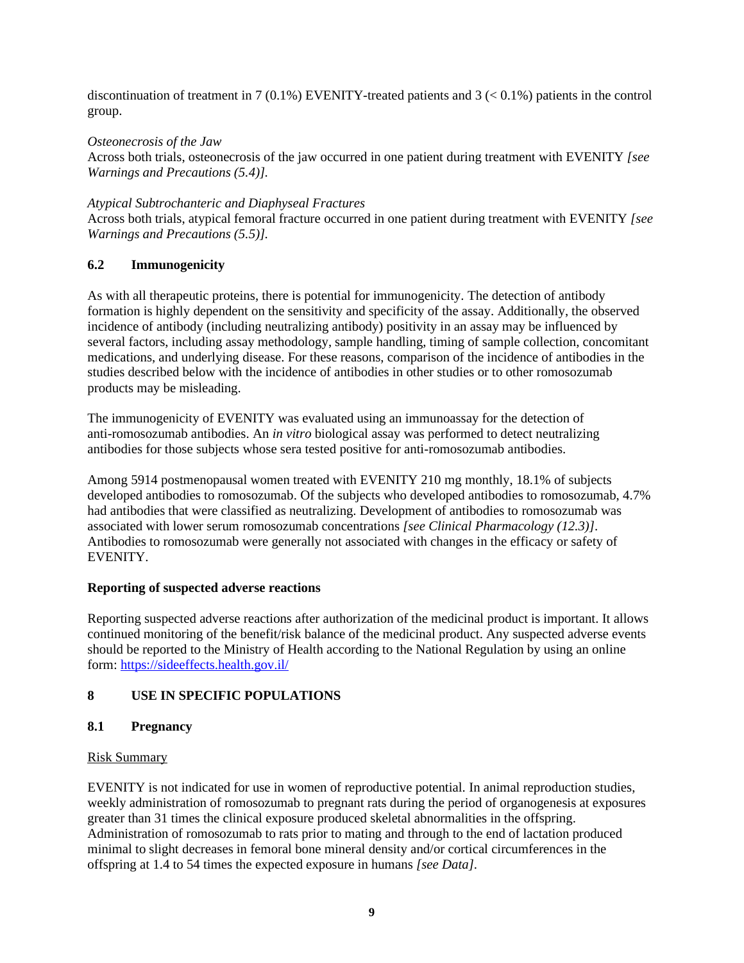discontinuation of treatment in 7 (0.1%) EVENITY-treated patients and  $3 \div 0.1\%$  patients in the control group.

# *Osteonecrosis of the Jaw*

Across both trials, osteonecrosis of the jaw occurred in one patient during treatment with EVENITY *[see Warnings and Precautions (5.4)].*

### *Atypical Subtrochanteric and Diaphyseal Fractures*

Across both trials, atypical femoral fracture occurred in one patient during treatment with EVENITY *[see Warnings and Precautions (5.5)].*

## **6.2 Immunogenicity**

As with all therapeutic proteins, there is potential for immunogenicity. The detection of antibody formation is highly dependent on the sensitivity and specificity of the assay. Additionally, the observed incidence of antibody (including neutralizing antibody) positivity in an assay may be influenced by several factors, including assay methodology, sample handling, timing of sample collection, concomitant medications, and underlying disease. For these reasons, comparison of the incidence of antibodies in the studies described below with the incidence of antibodies in other studies or to other romosozumab products may be misleading.

The immunogenicity of EVENITY was evaluated using an immunoassay for the detection of anti-romosozumab antibodies. An *in vitro* biological assay was performed to detect neutralizing antibodies for those subjects whose sera tested positive for anti-romosozumab antibodies.

Among 5914 postmenopausal women treated with EVENITY 210 mg monthly, 18.1% of subjects developed antibodies to romosozumab. Of the subjects who developed antibodies to romosozumab, 4.7% had antibodies that were classified as neutralizing. Development of antibodies to romosozumab was associated with lower serum romosozumab concentrations *[see Clinical Pharmacology (12.3)]*. Antibodies to romosozumab were generally not associated with changes in the efficacy or safety of EVENITY.

### **Reporting of suspected adverse reactions**

Reporting suspected adverse reactions after authorization of the medicinal product is important. It allows continued monitoring of the benefit/risk balance of the medicinal product. Any suspected adverse events should be reported to the Ministry of Health according to the National Regulation by using an online form:<https://sideeffects.health.gov.il/>

## **8 USE IN SPECIFIC POPULATIONS**

## **8.1 Pregnancy**

### Risk Summary

EVENITY is not indicated for use in women of reproductive potential. In animal reproduction studies, weekly administration of romosozumab to pregnant rats during the period of organogenesis at exposures greater than 31 times the clinical exposure produced skeletal abnormalities in the offspring. Administration of romosozumab to rats prior to mating and through to the end of lactation produced minimal to slight decreases in femoral bone mineral density and/or cortical circumferences in the offspring at 1.4 to 54 times the expected exposure in humans *[see Data]*.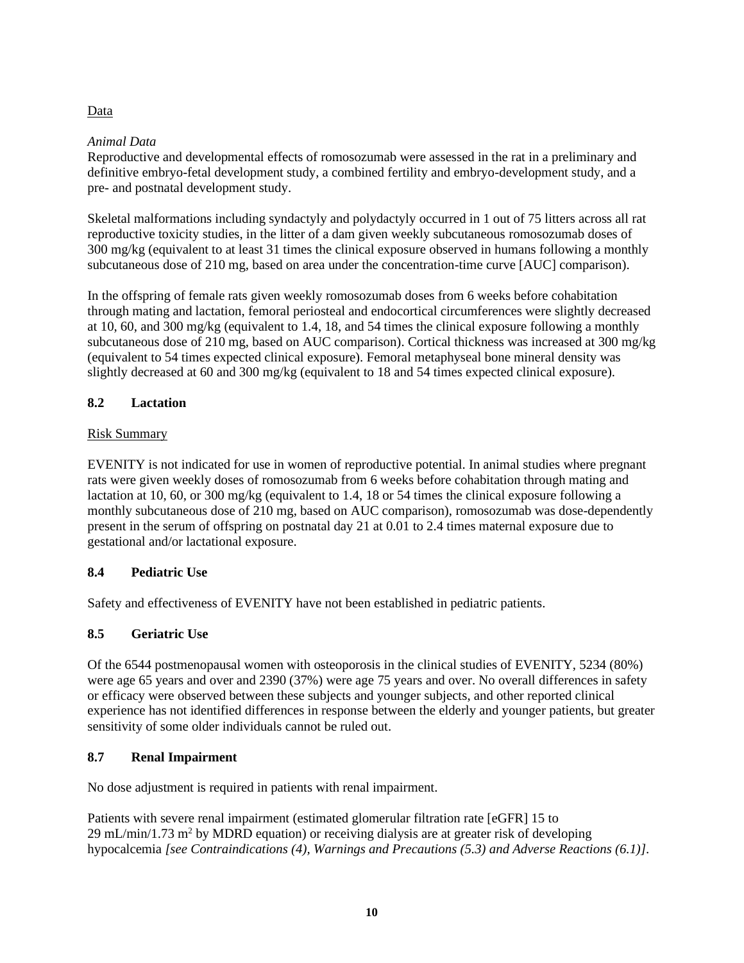# Data

# *Animal Data*

Reproductive and developmental effects of romosozumab were assessed in the rat in a preliminary and definitive embryo-fetal development study, a combined fertility and embryo-development study, and a pre- and postnatal development study.

Skeletal malformations including syndactyly and polydactyly occurred in 1 out of 75 litters across all rat reproductive toxicity studies, in the litter of a dam given weekly subcutaneous romosozumab doses of 300 mg/kg (equivalent to at least 31 times the clinical exposure observed in humans following a monthly subcutaneous dose of 210 mg, based on area under the concentration-time curve [AUC] comparison).

In the offspring of female rats given weekly romosozumab doses from 6 weeks before cohabitation through mating and lactation, femoral periosteal and endocortical circumferences were slightly decreased at 10, 60, and 300 mg/kg (equivalent to 1.4, 18, and 54 times the clinical exposure following a monthly subcutaneous dose of 210 mg, based on AUC comparison). Cortical thickness was increased at 300 mg/kg (equivalent to 54 times expected clinical exposure). Femoral metaphyseal bone mineral density was slightly decreased at 60 and 300 mg/kg (equivalent to 18 and 54 times expected clinical exposure).

# **8.2 Lactation**

# Risk Summary

EVENITY is not indicated for use in women of reproductive potential. In animal studies where pregnant rats were given weekly doses of romosozumab from 6 weeks before cohabitation through mating and lactation at 10, 60, or 300 mg/kg (equivalent to 1.4, 18 or 54 times the clinical exposure following a monthly subcutaneous dose of 210 mg, based on AUC comparison), romosozumab was dose-dependently present in the serum of offspring on postnatal day 21 at 0.01 to 2.4 times maternal exposure due to gestational and/or lactational exposure.

# **8.4 Pediatric Use**

Safety and effectiveness of EVENITY have not been established in pediatric patients.

# **8.5 Geriatric Use**

Of the 6544 postmenopausal women with osteoporosis in the clinical studies of EVENITY, 5234 (80%) were age 65 years and over and 2390 (37%) were age 75 years and over. No overall differences in safety or efficacy were observed between these subjects and younger subjects, and other reported clinical experience has not identified differences in response between the elderly and younger patients, but greater sensitivity of some older individuals cannot be ruled out.

## **8.7 Renal Impairment**

No dose adjustment is required in patients with renal impairment.

Patients with severe renal impairment (estimated glomerular filtration rate [eGFR] 15 to  $29 \text{ mL/min}/1.73 \text{ m}^2$  by MDRD equation) or receiving dialysis are at greater risk of developing hypocalcemia *[see Contraindications (4), Warnings and Precautions (5.3) and Adverse Reactions (6.1)]*.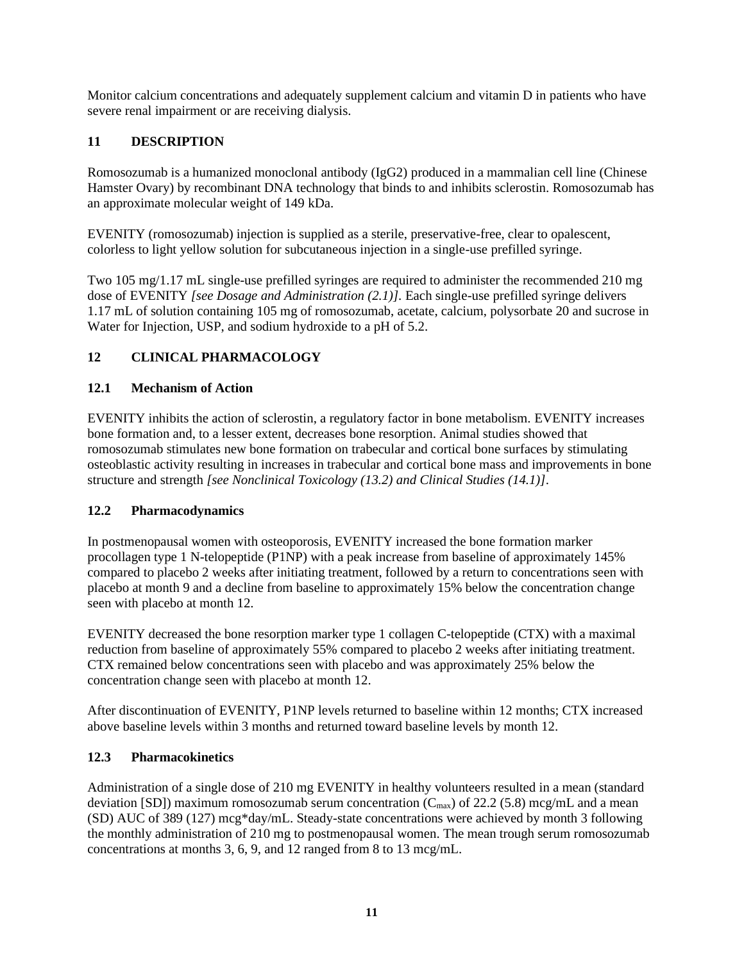Monitor calcium concentrations and adequately supplement calcium and vitamin D in patients who have severe renal impairment or are receiving dialysis.

# **11 DESCRIPTION**

Romosozumab is a humanized monoclonal antibody (IgG2) produced in a mammalian cell line (Chinese Hamster Ovary) by recombinant DNA technology that binds to and inhibits sclerostin. Romosozumab has an approximate molecular weight of 149 kDa.

EVENITY (romosozumab) injection is supplied as a sterile, preservative-free, clear to opalescent, colorless to light yellow solution for subcutaneous injection in a single-use prefilled syringe.

Two 105 mg/1.17 mL single-use prefilled syringes are required to administer the recommended 210 mg dose of EVENITY *[see Dosage and Administration (2.1)].* Each single-use prefilled syringe delivers 1.17 mL of solution containing 105 mg of romosozumab, acetate, calcium, polysorbate 20 and sucrose in Water for Injection, USP, and sodium hydroxide to a pH of 5.2.

# **12 CLINICAL PHARMACOLOGY**

## **12.1 Mechanism of Action**

EVENITY inhibits the action of sclerostin, a regulatory factor in bone metabolism. EVENITY increases bone formation and, to a lesser extent, decreases bone resorption. Animal studies showed that romosozumab stimulates new bone formation on trabecular and cortical bone surfaces by stimulating osteoblastic activity resulting in increases in trabecular and cortical bone mass and improvements in bone structure and strength *[see Nonclinical Toxicology (13.2) and Clinical Studies (14.1)]*.

### **12.2 Pharmacodynamics**

In postmenopausal women with osteoporosis, EVENITY increased the bone formation marker procollagen type 1 N-telopeptide (P1NP) with a peak increase from baseline of approximately 145% compared to placebo 2 weeks after initiating treatment, followed by a return to concentrations seen with placebo at month 9 and a decline from baseline to approximately 15% below the concentration change seen with placebo at month 12.

EVENITY decreased the bone resorption marker type 1 collagen C-telopeptide (CTX) with a maximal reduction from baseline of approximately 55% compared to placebo 2 weeks after initiating treatment. CTX remained below concentrations seen with placebo and was approximately 25% below the concentration change seen with placebo at month 12.

After discontinuation of EVENITY, P1NP levels returned to baseline within 12 months; CTX increased above baseline levels within 3 months and returned toward baseline levels by month 12.

### **12.3 Pharmacokinetics**

Administration of a single dose of 210 mg EVENITY in healthy volunteers resulted in a mean (standard deviation [SD]) maximum romosozumab serum concentration ( $C_{\text{max}}$ ) of 22.2 (5.8) mcg/mL and a mean (SD) AUC of 389 (127) mcg\*day/mL. Steady-state concentrations were achieved by month 3 following the monthly administration of 210 mg to postmenopausal women. The mean trough serum romosozumab concentrations at months 3, 6, 9, and 12 ranged from 8 to 13 mcg/mL.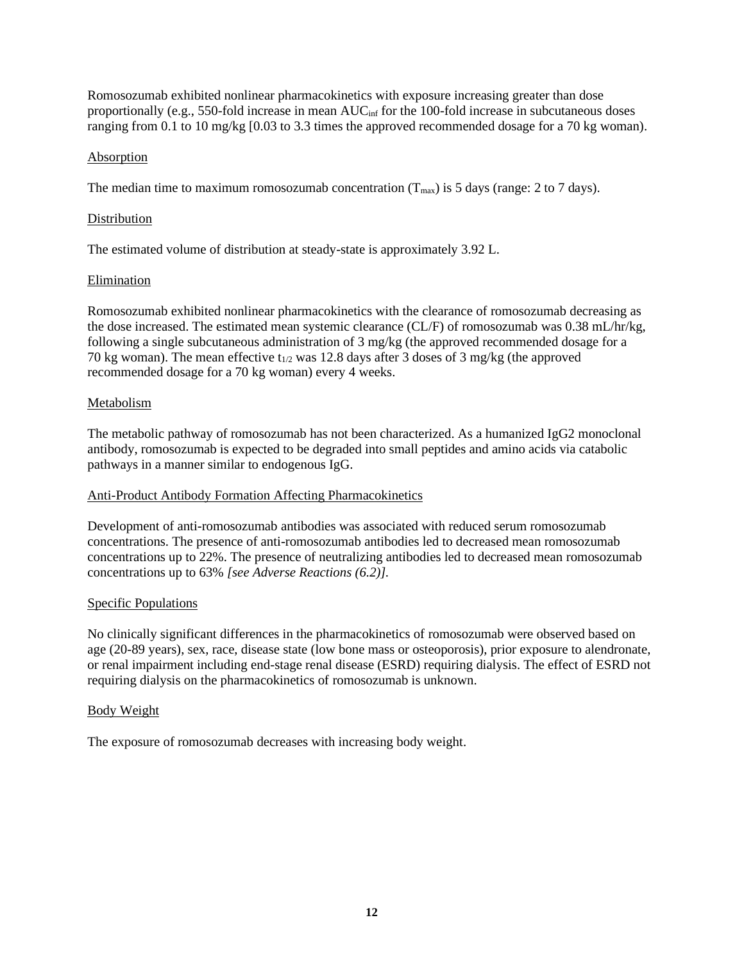Romosozumab exhibited nonlinear pharmacokinetics with exposure increasing greater than dose proportionally (e.g., 550-fold increase in mean AUC<sub>inf</sub> for the 100-fold increase in subcutaneous doses ranging from 0.1 to 10 mg/kg [0.03 to 3.3 times the approved recommended dosage for a 70 kg woman).

### Absorption

The median time to maximum romosozumab concentration  $(T_{\text{max}})$  is 5 days (range: 2 to 7 days).

## Distribution

The estimated volume of distribution at steady-state is approximately 3.92 L.

## Elimination

Romosozumab exhibited nonlinear pharmacokinetics with the clearance of romosozumab decreasing as the dose increased. The estimated mean systemic clearance (CL/F) of romosozumab was 0.38 mL/hr/kg, following a single subcutaneous administration of 3 mg/kg (the approved recommended dosage for a 70 kg woman). The mean effective  $t_{1/2}$  was 12.8 days after 3 doses of 3 mg/kg (the approved recommended dosage for a 70 kg woman) every 4 weeks.

## Metabolism

The metabolic pathway of romosozumab has not been characterized. As a humanized IgG2 monoclonal antibody, romosozumab is expected to be degraded into small peptides and amino acids via catabolic pathways in a manner similar to endogenous IgG.

## Anti-Product Antibody Formation Affecting Pharmacokinetics

Development of anti-romosozumab antibodies was associated with reduced serum romosozumab concentrations. The presence of anti-romosozumab antibodies led to decreased mean romosozumab concentrations up to 22%. The presence of neutralizing antibodies led to decreased mean romosozumab concentrations up to 63% *[see Adverse Reactions (6.2)].*

## Specific Populations

No clinically significant differences in the pharmacokinetics of romosozumab were observed based on age (20-89 years), sex, race, disease state (low bone mass or osteoporosis), prior exposure to alendronate, or renal impairment including end-stage renal disease (ESRD) requiring dialysis. The effect of ESRD not requiring dialysis on the pharmacokinetics of romosozumab is unknown.

### Body Weight

The exposure of romosozumab decreases with increasing body weight.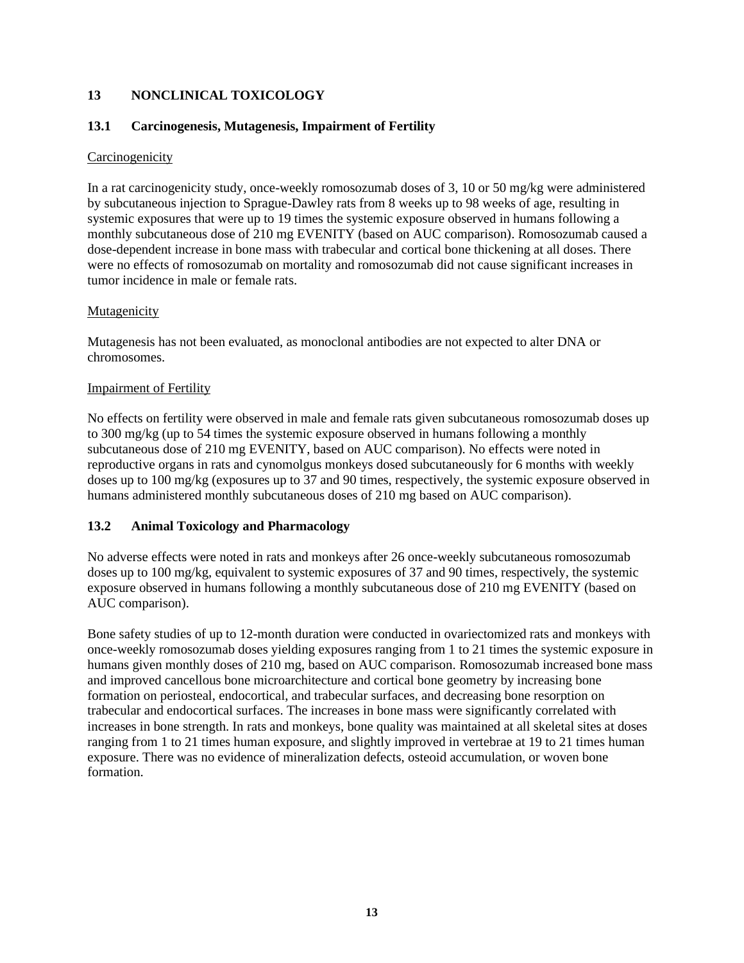# **13 NONCLINICAL TOXICOLOGY**

## **13.1 Carcinogenesis, Mutagenesis, Impairment of Fertility**

### **Carcinogenicity**

In a rat carcinogenicity study, once-weekly romosozumab doses of 3, 10 or 50 mg/kg were administered by subcutaneous injection to Sprague-Dawley rats from 8 weeks up to 98 weeks of age, resulting in systemic exposures that were up to 19 times the systemic exposure observed in humans following a monthly subcutaneous dose of 210 mg EVENITY (based on AUC comparison). Romosozumab caused a dose-dependent increase in bone mass with trabecular and cortical bone thickening at all doses. There were no effects of romosozumab on mortality and romosozumab did not cause significant increases in tumor incidence in male or female rats.

## **Mutagenicity**

Mutagenesis has not been evaluated, as monoclonal antibodies are not expected to alter DNA or chromosomes.

## Impairment of Fertility

No effects on fertility were observed in male and female rats given subcutaneous romosozumab doses up to 300 mg/kg (up to 54 times the systemic exposure observed in humans following a monthly subcutaneous dose of 210 mg EVENITY, based on AUC comparison). No effects were noted in reproductive organs in rats and cynomolgus monkeys dosed subcutaneously for 6 months with weekly doses up to 100 mg/kg (exposures up to 37 and 90 times, respectively, the systemic exposure observed in humans administered monthly subcutaneous doses of 210 mg based on AUC comparison).

## **13.2 Animal Toxicology and Pharmacology**

No adverse effects were noted in rats and monkeys after 26 once-weekly subcutaneous romosozumab doses up to 100 mg/kg, equivalent to systemic exposures of 37 and 90 times, respectively, the systemic exposure observed in humans following a monthly subcutaneous dose of 210 mg EVENITY (based on AUC comparison).

Bone safety studies of up to 12-month duration were conducted in ovariectomized rats and monkeys with once-weekly romosozumab doses yielding exposures ranging from 1 to 21 times the systemic exposure in humans given monthly doses of 210 mg, based on AUC comparison. Romosozumab increased bone mass and improved cancellous bone microarchitecture and cortical bone geometry by increasing bone formation on periosteal, endocortical, and trabecular surfaces, and decreasing bone resorption on trabecular and endocortical surfaces. The increases in bone mass were significantly correlated with increases in bone strength. In rats and monkeys, bone quality was maintained at all skeletal sites at doses ranging from 1 to 21 times human exposure, and slightly improved in vertebrae at 19 to 21 times human exposure. There was no evidence of mineralization defects, osteoid accumulation, or woven bone formation.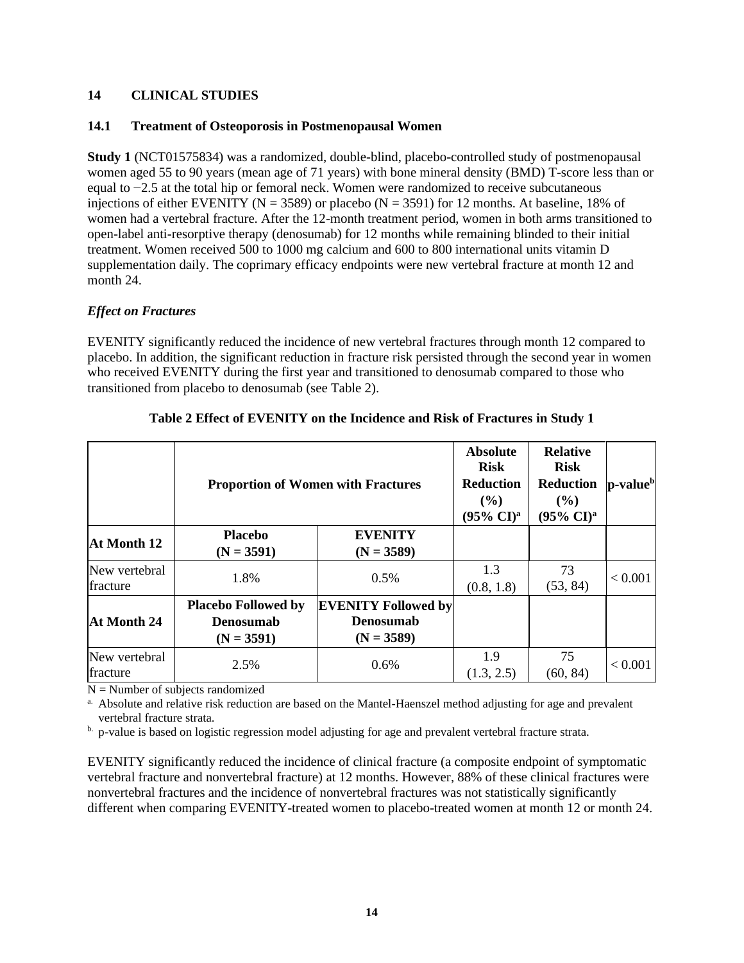### **14 CLINICAL STUDIES**

### **14.1 Treatment of Osteoporosis in Postmenopausal Women**

**Study 1** (NCT01575834) was a randomized, double-blind, placebo-controlled study of postmenopausal women aged 55 to 90 years (mean age of 71 years) with bone mineral density (BMD) T-score less than or equal to −2.5 at the total hip or femoral neck. Women were randomized to receive subcutaneous injections of either EVENITY ( $N = 3589$ ) or placebo ( $N = 3591$ ) for 12 months. At baseline, 18% of women had a vertebral fracture. After the 12-month treatment period, women in both arms transitioned to open-label anti-resorptive therapy (denosumab) for 12 months while remaining blinded to their initial treatment. Women received 500 to 1000 mg calcium and 600 to 800 international units vitamin D supplementation daily. The coprimary efficacy endpoints were new vertebral fracture at month 12 and month 24.

## *Effect on Fractures*

EVENITY significantly reduced the incidence of new vertebral fractures through month 12 compared to placebo. In addition, the significant reduction in fracture risk persisted through the second year in women who received EVENITY during the first year and transitioned to denosumab compared to those who transitioned from placebo to denosumab (see [Table 2\)](#page-13-0).

<span id="page-13-0"></span>

|                           | <b>Proportion of Women with Fractures</b>                      |                                                                | <b>Absolute</b><br><b>Risk</b><br><b>Reduction</b><br>$($ %)<br>$(95\% \text{ CI})^{\text{a}}$ | <b>Relative</b><br><b>Risk</b><br><b>Reduction</b><br>$($ %)<br>$(95\% \text{ CI})^{\text{a}}$ | $ $ p-value $ $ |
|---------------------------|----------------------------------------------------------------|----------------------------------------------------------------|------------------------------------------------------------------------------------------------|------------------------------------------------------------------------------------------------|-----------------|
| At Month 12               | <b>Placebo</b><br>$(N = 3591)$                                 | <b>EVENITY</b><br>$(N = 3589)$                                 |                                                                                                |                                                                                                |                 |
| New vertebral<br>fracture | 1.8%                                                           | 0.5%                                                           | 1.3<br>(0.8, 1.8)                                                                              | 73<br>(53, 84)                                                                                 | < 0.001         |
| At Month 24               | <b>Placebo Followed by</b><br><b>Denosumab</b><br>$(N = 3591)$ | <b>EVENITY Followed by</b><br><b>Denosumab</b><br>$(N = 3589)$ |                                                                                                |                                                                                                |                 |
| New vertebral<br>fracture | 2.5%                                                           | 0.6%                                                           | 1.9<br>(1.3, 2.5)                                                                              | 75<br>(60, 84)                                                                                 | < 0.001         |

## **Table 2 Effect of EVENITY on the Incidence and Risk of Fractures in Study 1**

 $N =$  Number of subjects randomized

<sup>a.</sup> Absolute and relative risk reduction are based on the Mantel-Haenszel method adjusting for age and prevalent vertebral fracture strata.

b. p-value is based on logistic regression model adjusting for age and prevalent vertebral fracture strata.

EVENITY significantly reduced the incidence of clinical fracture (a composite endpoint of symptomatic vertebral fracture and nonvertebral fracture) at 12 months. However, 88% of these clinical fractures were nonvertebral fractures and the incidence of nonvertebral fractures was not statistically significantly different when comparing EVENITY-treated women to placebo-treated women at month 12 or month 24.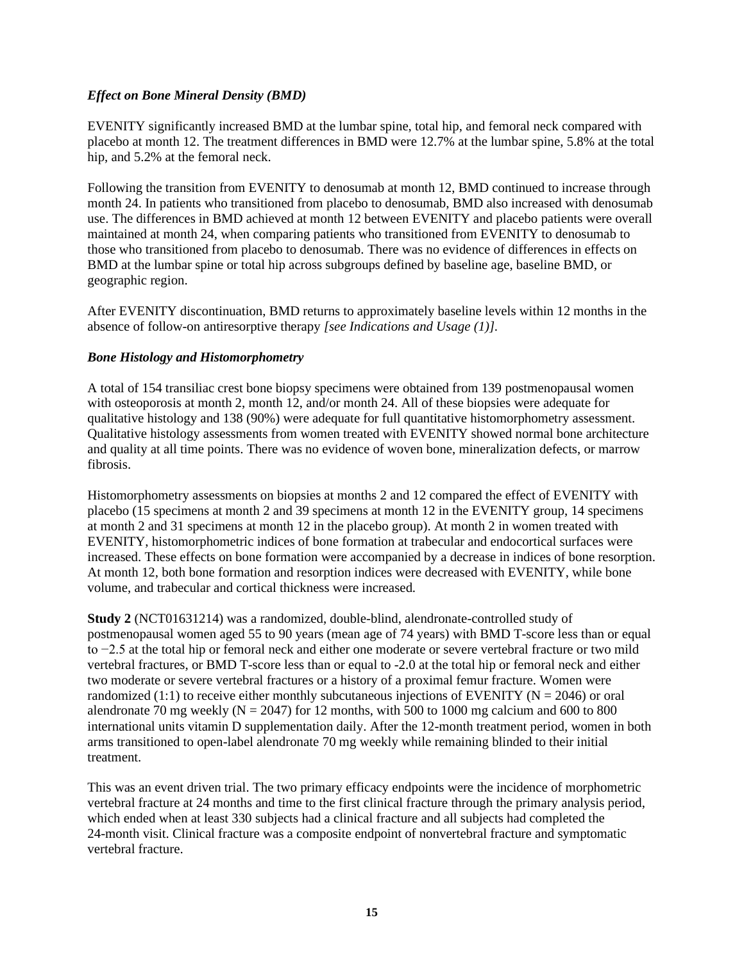## *Effect on Bone Mineral Density (BMD)*

EVENITY significantly increased BMD at the lumbar spine, total hip, and femoral neck compared with placebo at month 12. The treatment differences in BMD were 12.7% at the lumbar spine, 5.8% at the total hip, and 5.2% at the femoral neck.

Following the transition from EVENITY to denosumab at month 12, BMD continued to increase through month 24. In patients who transitioned from placebo to denosumab, BMD also increased with denosumab use. The differences in BMD achieved at month 12 between EVENITY and placebo patients were overall maintained at month 24, when comparing patients who transitioned from EVENITY to denosumab to those who transitioned from placebo to denosumab. There was no evidence of differences in effects on BMD at the lumbar spine or total hip across subgroups defined by baseline age, baseline BMD, or geographic region.

After EVENITY discontinuation, BMD returns to approximately baseline levels within 12 months in the absence of follow-on antiresorptive therapy *[see Indications and Usage (1)].*

### *Bone Histology and Histomorphometry*

A total of 154 transiliac crest bone biopsy specimens were obtained from 139 postmenopausal women with osteoporosis at month 2, month 12, and/or month 24. All of these biopsies were adequate for qualitative histology and 138 (90%) were adequate for full quantitative histomorphometry assessment. Qualitative histology assessments from women treated with EVENITY showed normal bone architecture and quality at all time points. There was no evidence of woven bone, mineralization defects, or marrow fibrosis.

Histomorphometry assessments on biopsies at months 2 and 12 compared the effect of EVENITY with placebo (15 specimens at month 2 and 39 specimens at month 12 in the EVENITY group, 14 specimens at month 2 and 31 specimens at month 12 in the placebo group). At month 2 in women treated with EVENITY, histomorphometric indices of bone formation at trabecular and endocortical surfaces were increased. These effects on bone formation were accompanied by a decrease in indices of bone resorption. At month 12, both bone formation and resorption indices were decreased with EVENITY, while bone volume, and trabecular and cortical thickness were increased.

**Study 2** (NCT01631214) was a randomized, double-blind, alendronate-controlled study of postmenopausal women aged 55 to 90 years (mean age of 74 years) with BMD T-score less than or equal to −2.5 at the total hip or femoral neck and either one moderate or severe vertebral fracture or two mild vertebral fractures, or BMD T-score less than or equal to -2.0 at the total hip or femoral neck and either two moderate or severe vertebral fractures or a history of a proximal femur fracture. Women were randomized (1:1) to receive either monthly subcutaneous injections of EVENITY ( $N = 2046$ ) or oral alendronate 70 mg weekly ( $N = 2047$ ) for 12 months, with 500 to 1000 mg calcium and 600 to 800 international units vitamin D supplementation daily. After the 12-month treatment period, women in both arms transitioned to open-label alendronate 70 mg weekly while remaining blinded to their initial treatment.

This was an event driven trial. The two primary efficacy endpoints were the incidence of morphometric vertebral fracture at 24 months and time to the first clinical fracture through the primary analysis period, which ended when at least 330 subjects had a clinical fracture and all subjects had completed the 24-month visit. Clinical fracture was a composite endpoint of nonvertebral fracture and symptomatic vertebral fracture.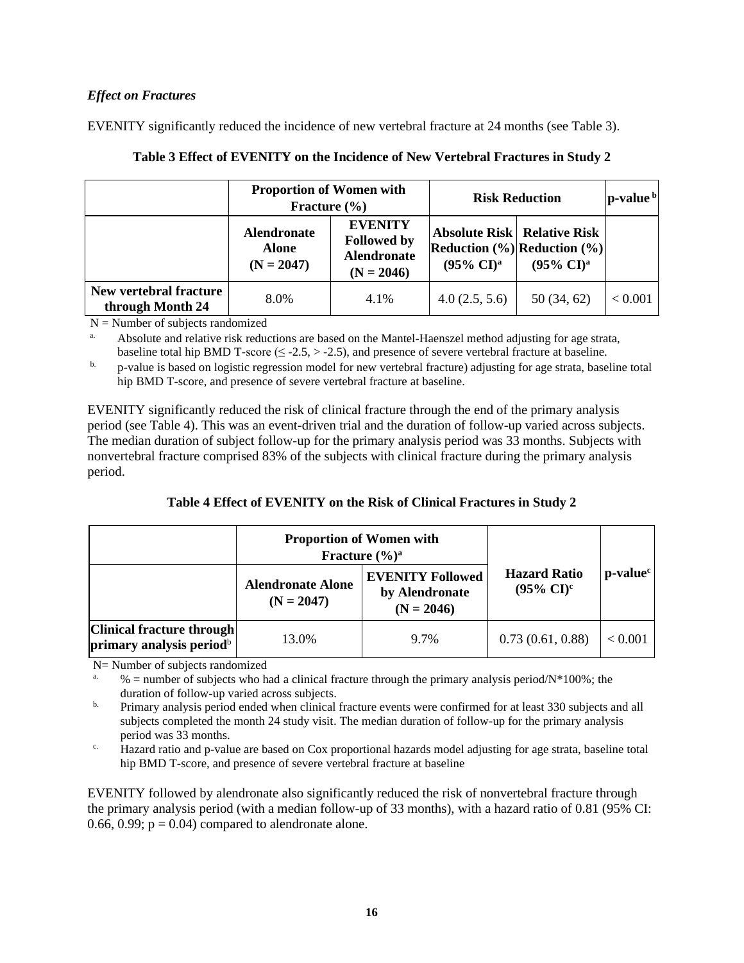# *Effect on Fractures*

EVENITY significantly reduced the incidence of new vertebral fracture at 24 months (see Table 3).

|                                            | <b>Proportion of Women with</b><br>Fracture $(\% )$ |                                                                            | <b>Risk Reduction</b>          | $\mathbf{p}\text{-value}^{\mathrm{b}}$                                                                                            |         |
|--------------------------------------------|-----------------------------------------------------|----------------------------------------------------------------------------|--------------------------------|-----------------------------------------------------------------------------------------------------------------------------------|---------|
|                                            | <b>Alendronate</b><br><b>Alone</b><br>$(N = 2047)$  | <b>EVENITY</b><br><b>Followed by</b><br><b>Alendronate</b><br>$(N = 2046)$ | $(95\% \text{ CI})^{\text{a}}$ | <b>Absolute Risk   Relative Risk</b><br>$\left \text{Reduction}(\%)\right \text{Reduction}(\%)$<br>$(95\% \text{ CI})^{\text{a}}$ |         |
| New vertebral fracture<br>through Month 24 | 8.0%                                                | 4.1%                                                                       | 4.0(2.5, 5.6)                  | 50(34, 62)                                                                                                                        | < 0.001 |

# **Table 3 Effect of EVENITY on the Incidence of New Vertebral Fractures in Study 2**

 $N =$  Number of subjects randomized

Absolute and relative risk reductions are based on the Mantel-Haenszel method adjusting for age strata, baseline total hip BMD T-score ( $\leq$  -2.5,  $>$  -2.5), and presence of severe vertebral fracture at baseline.

<sup>b.</sup> p-value is based on logistic regression model for new vertebral fracture) adjusting for age strata, baseline total hip BMD T-score, and presence of severe vertebral fracture at baseline.

EVENITY significantly reduced the risk of clinical fracture through the end of the primary analysis period (see Table 4). This was an event-driven trial and the duration of follow-up varied across subjects. The median duration of subject follow-up for the primary analysis period was 33 months. Subjects with nonvertebral fracture comprised 83% of the subjects with clinical fracture during the primary analysis period.

| Table 4 Effect of EVENITY on the Risk of Clinical Fractures in Study 2 |  |
|------------------------------------------------------------------------|--|
|------------------------------------------------------------------------|--|

|                                                                   | <b>Proportion of Women with</b><br>Fracture $(\frac{6}{6})^a$ |                                                           |                                                       |            |
|-------------------------------------------------------------------|---------------------------------------------------------------|-----------------------------------------------------------|-------------------------------------------------------|------------|
|                                                                   | <b>Alendronate Alone</b><br>$(N = 2047)$                      | <b>EVENITY Followed</b><br>by Alendronate<br>$(N = 2046)$ | <b>Hazard Ratio</b><br>$(95\% \text{ CI})^{\text{c}}$ | $p-valuec$ |
| Clinical fracture through<br>primary analysis period <sup>b</sup> | 13.0%                                                         | 9.7%                                                      | 0.73(0.61, 0.88)                                      | < 0.001    |

N= Number of subjects randomized

 $%$  = number of subjects who had a clinical fracture through the primary analysis period/N\*100%; the duration of follow-up varied across subjects.

<sup>b.</sup> Primary analysis period ended when clinical fracture events were confirmed for at least 330 subjects and all subjects completed the month 24 study visit. The median duration of follow-up for the primary analysis period was 33 months.

<sup>c.</sup> Hazard ratio and p-value are based on Cox proportional hazards model adjusting for age strata, baseline total hip BMD T-score, and presence of severe vertebral fracture at baseline

EVENITY followed by alendronate also significantly reduced the risk of nonvertebral fracture through the primary analysis period (with a median follow-up of 33 months), with a hazard ratio of 0.81 (95% CI: 0.66, 0.99;  $p = 0.04$ ) compared to alendronate alone.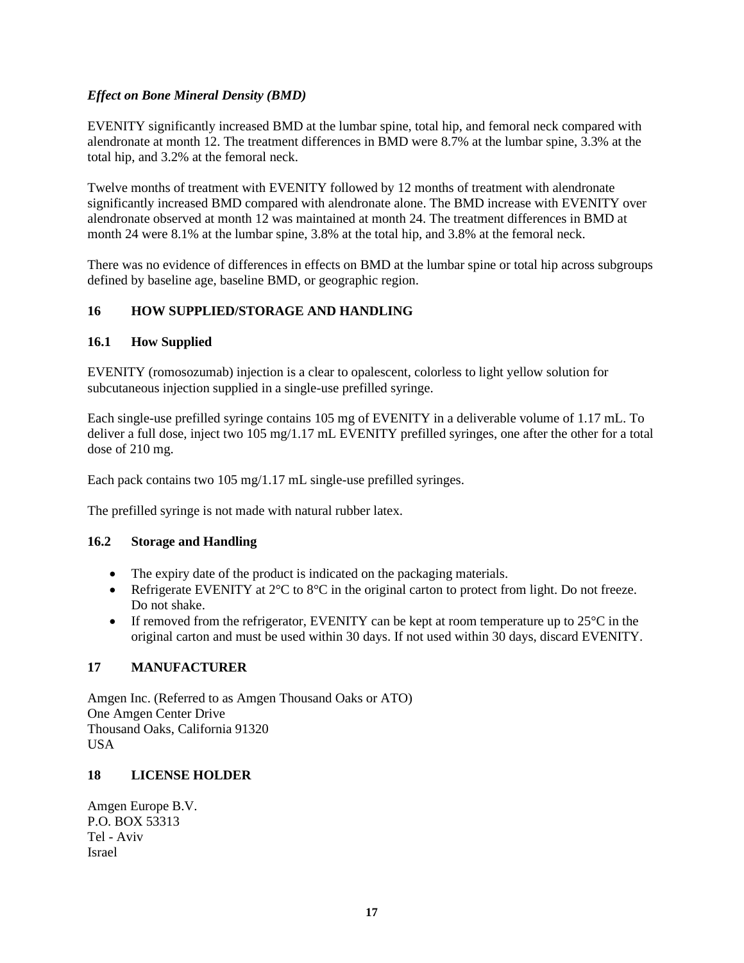# *Effect on Bone Mineral Density (BMD)*

EVENITY significantly increased BMD at the lumbar spine, total hip, and femoral neck compared with alendronate at month 12. The treatment differences in BMD were 8.7% at the lumbar spine, 3.3% at the total hip, and 3.2% at the femoral neck.

Twelve months of treatment with EVENITY followed by 12 months of treatment with alendronate significantly increased BMD compared with alendronate alone. The BMD increase with EVENITY over alendronate observed at month 12 was maintained at month 24. The treatment differences in BMD at month 24 were 8.1% at the lumbar spine, 3.8% at the total hip, and 3.8% at the femoral neck.

There was no evidence of differences in effects on BMD at the lumbar spine or total hip across subgroups defined by baseline age, baseline BMD, or geographic region.

## **16 HOW SUPPLIED/STORAGE AND HANDLING**

## **16.1 How Supplied**

EVENITY (romosozumab) injection is a clear to opalescent, colorless to light yellow solution for subcutaneous injection supplied in a single-use prefilled syringe.

Each single-use prefilled syringe contains 105 mg of EVENITY in a deliverable volume of 1.17 mL. To deliver a full dose, inject two 105 mg/1.17 mL EVENITY prefilled syringes, one after the other for a total dose of 210 mg.

Each pack contains two 105 mg/1.17 mL single-use prefilled syringes.

The prefilled syringe is not made with natural rubber latex.

### **16.2 Storage and Handling**

- The expiry date of the product is indicated on the packaging materials.
- Refrigerate EVENITY at  $2^{\circ}C$  to  $8^{\circ}C$  in the original carton to protect from light. Do not freeze. Do not shake.
- If removed from the refrigerator, EVENITY can be kept at room temperature up to  $25^{\circ}$ C in the original carton and must be used within 30 days. If not used within 30 days, discard EVENITY.

### **17 MANUFACTURER**

Amgen Inc. (Referred to as Amgen Thousand Oaks or ATO) One Amgen Center Drive Thousand Oaks, California 91320 USA

## **18 LICENSE HOLDER**

Amgen Europe B.V. P.O. BOX 53313 Tel - Aviv Israel